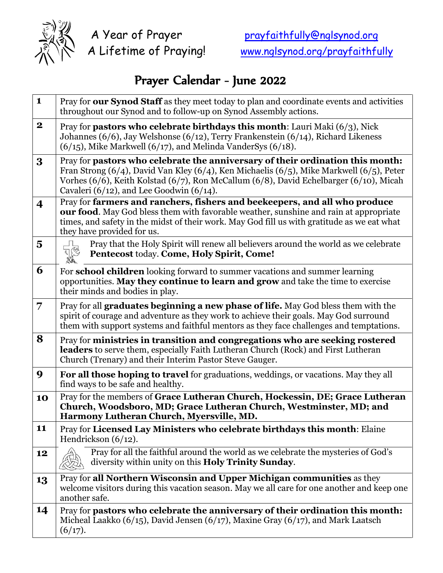

## Prayer Calendar - June 2022

| $\mathbf{1}$            | Pray for our Synod Staff as they meet today to plan and coordinate events and activities<br>throughout our Synod and to follow-up on Synod Assembly actions.                                                                                                                                                                 |
|-------------------------|------------------------------------------------------------------------------------------------------------------------------------------------------------------------------------------------------------------------------------------------------------------------------------------------------------------------------|
| $\mathbf 2$             | Pray for <b>pastors who celebrate birthdays this month</b> : Lauri Maki $(6/3)$ , Nick<br>Johannes (6/6), Jay Welshonse (6/12), Terry Frankenstein (6/14), Richard Likeness<br>$(6/15)$ , Mike Markwell $(6/17)$ , and Melinda VanderSys $(6/18)$ .                                                                          |
| 3                       | Pray for pastors who celebrate the anniversary of their ordination this month:<br>Fran Strong $(6/4)$ , David Van Kley $(6/4)$ , Ken Michaelis $(6/5)$ , Mike Markwell $(6/5)$ , Peter<br>Vorhes (6/6), Keith Kolstad (6/7), Ron McCallum (6/8), David Echelbarger (6/10), Micah<br>Cavaleri (6/12), and Lee Goodwin (6/14). |
| $\overline{\mathbf{4}}$ | Pray for farmers and ranchers, fishers and beekeepers, and all who produce<br><b>our food.</b> May God bless them with favorable weather, sunshine and rain at appropriate<br>times, and safety in the midst of their work. May God fill us with gratitude as we eat what<br>they have provided for us.                      |
| $\overline{\mathbf{5}}$ | Pray that the Holy Spirit will renew all believers around the world as we celebrate<br>Pentecost today. Come, Holy Spirit, Come!                                                                                                                                                                                             |
| 6                       | For <b>school children</b> looking forward to summer vacations and summer learning<br>opportunities. May they continue to learn and grow and take the time to exercise<br>their minds and bodies in play.                                                                                                                    |
| 7                       | Pray for all graduates beginning a new phase of life. May God bless them with the<br>spirit of courage and adventure as they work to achieve their goals. May God surround<br>them with support systems and faithful mentors as they face challenges and temptations.                                                        |
| 8                       | Pray for ministries in transition and congregations who are seeking rostered<br>leaders to serve them, especially Faith Lutheran Church (Rock) and First Lutheran<br>Church (Trenary) and their Interim Pastor Steve Gauger.                                                                                                 |
| 9                       | For all those hoping to travel for graduations, weddings, or vacations. May they all<br>find ways to be safe and healthy.                                                                                                                                                                                                    |
| 10                      | Pray for the members of Grace Lutheran Church, Hockessin, DE; Grace Lutheran<br>Church, Woodsboro, MD; Grace Lutheran Church, Westminster, MD; and<br>Harmony Lutheran Church, Myersville, MD.                                                                                                                               |
| 11                      | Pray for Licensed Lay Ministers who celebrate birthdays this month: Elaine<br>Hendrickson $(6/12)$ .                                                                                                                                                                                                                         |
| 12                      | Pray for all the faithful around the world as we celebrate the mysteries of God's<br>diversity within unity on this Holy Trinity Sunday.                                                                                                                                                                                     |
| 13                      | Pray for all Northern Wisconsin and Upper Michigan communities as they<br>welcome visitors during this vacation season. May we all care for one another and keep one<br>another safe.                                                                                                                                        |
| 14                      | Pray for pastors who celebrate the anniversary of their ordination this month:<br>Micheal Laakko (6/15), David Jensen (6/17), Maxine Gray (6/17), and Mark Laatsch<br>(6/17).                                                                                                                                                |